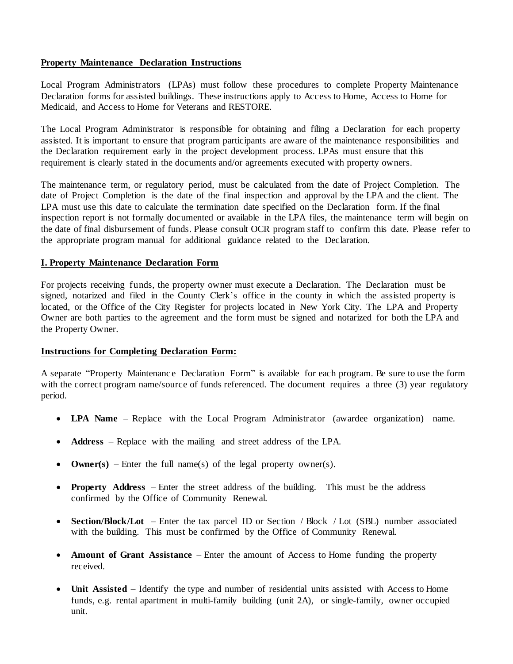## **Property Maintenance Declaration Instructions**

Local Program Administrators (LPAs) must follow these procedures to complete Property Maintenance Declaration forms for assisted buildings. These instructions apply to Access to Home, Access to Home for Medicaid, and Access to Home for Veterans and RESTORE.

The Local Program Administrator is responsible for obtaining and filing a Declaration for each property assisted. It is important to ensure that program participants are aware of the maintenance responsibilities and the Declaration requirement early in the project development process. LPAs must ensure that this requirement is clearly stated in the documents and/or agreements executed with property owners.

The maintenance term, or regulatory period, must be calculated from the date of Project Completion. The date of Project Completion is the date of the final inspection and approval by the LPA and the client. The LPA must use this date to calculate the termination date specified on the Declaration form. If the final inspection report is not formally documented or available in the LPA files, the maintenance term will begin on the date of final disbursement of funds. Please consult OCR program staff to confirm this date. Please refer to the appropriate program manual for additional guidance related to the Declaration.

## **I. Property Maintenance Declaration Form**

For projects receiving funds, the property owner must execute a Declaration. The Declaration must be signed, notarized and filed in the County Clerk's office in the county in which the assisted property is located, or the Office of the City Register for projects located in New York City. The LPA and Property Owner are both parties to the agreement and the form must be signed and notarized for both the LPA and the Property Owner.

## **Instructions for Completing Declaration Form:**

A separate "Property Maintenance Declaration Form" is available for each program. Be sure to use the form with the correct program name/source of funds referenced. The document requires a three (3) year regulatory period.

- **LPA Name** Replace with the Local Program Administrator (awardee organization) name.
- **Address** Replace with the mailing and street address of the LPA.
- **Owner(s)** Enter the full name(s) of the legal property owner(s).
- **Property Address** Enter the street address of the building. This must be the address confirmed by the Office of Community Renewal.
- **Section/Block/Lot** Enter the tax parcel ID or Section / Block / Lot (SBL) number associated with the building. This must be confirmed by the Office of Community Renewal.
- **Amount of Grant Assistance** Enter the amount of Access to Home funding the property received.
- **Unit Assisted –** Identify the type and number of residential units assisted with Access to Home funds, e.g. rental apartment in multi-family building (unit 2A), or single-family, owner occupied unit.